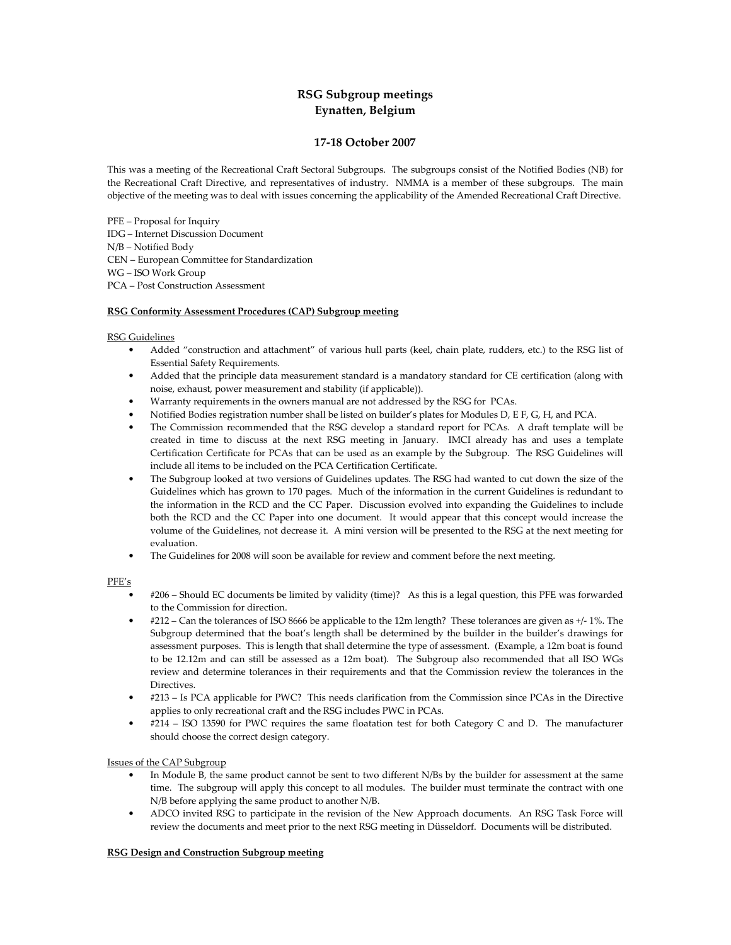# RSG Subgroup meetings Eynatten, Belgium

# 17-18 October 2007

This was a meeting of the Recreational Craft Sectoral Subgroups. The subgroups consist of the Notified Bodies (NB) for the Recreational Craft Directive, and representatives of industry. NMMA is a member of these subgroups. The main objective of the meeting was to deal with issues concerning the applicability of the Amended Recreational Craft Directive.

PFE – Proposal for Inquiry IDG – Internet Discussion Document N/B – Notified Body CEN – European Committee for Standardization WG – ISO Work Group PCA – Post Construction Assessment

# RSG Conformity Assessment Procedures (CAP) Subgroup meeting

# RSG Guidelines

- Added "construction and attachment" of various hull parts (keel, chain plate, rudders, etc.) to the RSG list of Essential Safety Requirements.
- Added that the principle data measurement standard is a mandatory standard for CE certification (along with noise, exhaust, power measurement and stability (if applicable)).
- Warranty requirements in the owners manual are not addressed by the RSG for PCAs.
- Notified Bodies registration number shall be listed on builder's plates for Modules D, E F, G, H, and PCA.
- The Commission recommended that the RSG develop a standard report for PCAs. A draft template will be created in time to discuss at the next RSG meeting in January. IMCI already has and uses a template Certification Certificate for PCAs that can be used as an example by the Subgroup. The RSG Guidelines will include all items to be included on the PCA Certification Certificate.
- The Subgroup looked at two versions of Guidelines updates. The RSG had wanted to cut down the size of the Guidelines which has grown to 170 pages. Much of the information in the current Guidelines is redundant to the information in the RCD and the CC Paper. Discussion evolved into expanding the Guidelines to include both the RCD and the CC Paper into one document. It would appear that this concept would increase the volume of the Guidelines, not decrease it. A mini version will be presented to the RSG at the next meeting for evaluation.
- The Guidelines for 2008 will soon be available for review and comment before the next meeting.

#### PFE's

- #206 Should EC documents be limited by validity (time)? As this is a legal question, this PFE was forwarded to the Commission for direction.
- #212 Can the tolerances of ISO 8666 be applicable to the 12m length? These tolerances are given as +/- 1%. The Subgroup determined that the boat's length shall be determined by the builder in the builder's drawings for assessment purposes. This is length that shall determine the type of assessment. (Example, a 12m boat is found to be 12.12m and can still be assessed as a 12m boat). The Subgroup also recommended that all ISO WGs review and determine tolerances in their requirements and that the Commission review the tolerances in the **Directives**
- #213 Is PCA applicable for PWC? This needs clarification from the Commission since PCAs in the Directive applies to only recreational craft and the RSG includes PWC in PCAs.
- #214 ISO 13590 for PWC requires the same floatation test for both Category C and D. The manufacturer should choose the correct design category.

# Issues of the CAP Subgroup

- In Module B, the same product cannot be sent to two different N/Bs by the builder for assessment at the same time. The subgroup will apply this concept to all modules. The builder must terminate the contract with one N/B before applying the same product to another N/B.
- ADCO invited RSG to participate in the revision of the New Approach documents. An RSG Task Force will review the documents and meet prior to the next RSG meeting in Düsseldorf. Documents will be distributed.

#### **RSG Design and Construction Subgroup meeting**